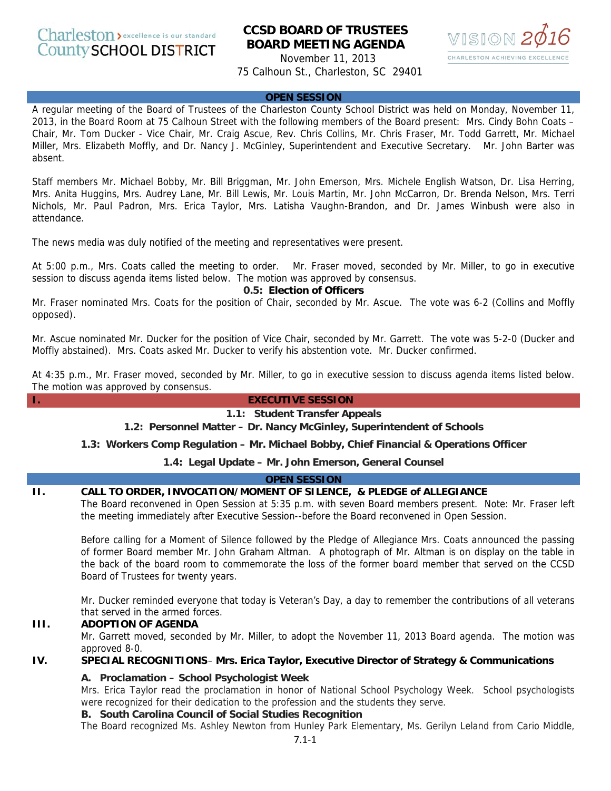# **CCSD BOARD OF TRUSTEES BOARD MEETING AGENDA**

November 11, 2013 75 Calhoun St., Charleston, SC 29401



#### **OPEN SESSION**

A regular meeting of the Board of Trustees of the Charleston County School District was held on Monday, November 11, 2013, in the Board Room at 75 Calhoun Street with the following members of the Board present: Mrs. Cindy Bohn Coats – Chair, Mr. Tom Ducker - Vice Chair, Mr. Craig Ascue, Rev. Chris Collins, Mr. Chris Fraser, Mr. Todd Garrett, Mr. Michael Miller, Mrs. Elizabeth Moffly, and Dr. Nancy J. McGinley, Superintendent and Executive Secretary. Mr. John Barter was absent.

Staff members Mr. Michael Bobby, Mr. Bill Briggman, Mr. John Emerson, Mrs. Michele English Watson, Dr. Lisa Herring, Mrs. Anita Huggins, Mrs. Audrey Lane, Mr. Bill Lewis, Mr. Louis Martin, Mr. John McCarron, Dr. Brenda Nelson, Mrs. Terri Nichols, Mr. Paul Padron, Mrs. Erica Taylor, Mrs. Latisha Vaughn-Brandon, and Dr. James Winbush were also in attendance.

The news media was duly notified of the meeting and representatives were present.

At 5:00 p.m., Mrs. Coats called the meeting to order. Mr. Fraser moved, seconded by Mr. Miller, to go in executive session to discuss agenda items listed below. The motion was approved by consensus.

#### **0.5: Election of Officers**

Mr. Fraser nominated Mrs. Coats for the position of Chair, seconded by Mr. Ascue. The vote was 6-2 (Collins and Moffly opposed).

Mr. Ascue nominated Mr. Ducker for the position of Vice Chair, seconded by Mr. Garrett. The vote was 5-2-0 (Ducker and Moffly abstained). Mrs. Coats asked Mr. Ducker to verify his abstention vote. Mr. Ducker confirmed.

At 4:35 p.m., Mr. Fraser moved, seconded by Mr. Miller, to go in executive session to discuss agenda items listed below. The motion was approved by consensus.

#### **I. EXECUTIVE SESSION**

#### **1.1: Student Transfer Appeals**

 **1.2: Personnel Matter – Dr. Nancy McGinley, Superintendent of Schools**

**1.3: Workers Comp Regulation – Mr. Michael Bobby, Chief Financial & Operations Officer**

**1.4: Legal Update – Mr. John Emerson, General Counsel**

#### **OPEN SESSION**

#### **II. CALL TO ORDER, INVOCATION/MOMENT OF SILENCE, & PLEDGE of ALLEGIANCE**

The Board reconvened in Open Session at 5:35 p.m. with seven Board members present. Note: Mr. Fraser left the meeting immediately after Executive Session--before the Board reconvened in Open Session.

Before calling for a Moment of Silence followed by the Pledge of Allegiance Mrs. Coats announced the passing of former Board member Mr. John Graham Altman. A photograph of Mr. Altman is on display on the table in the back of the board room to commemorate the loss of the former board member that served on the CCSD Board of Trustees for twenty years.

Mr. Ducker reminded everyone that today is Veteran's Day, a day to remember the contributions of all veterans that served in the armed forces.

## **III. ADOPTION OF AGENDA**

Mr. Garrett moved, seconded by Mr. Miller, to adopt the November 11, 2013 Board agenda. The motion was approved 8-0.

## **IV. SPECIAL RECOGNITIONS**– **Mrs. Erica Taylor, Executive Director of Strategy & Communications**

#### **A. Proclamation – School Psychologist Week**

Mrs. Erica Taylor read the proclamation in honor of National School Psychology Week. School psychologists were recognized for their dedication to the profession and the students they serve.

#### **B. South Carolina Council of Social Studies Recognition**

The Board recognized Ms. Ashley Newton from Hunley Park Elementary, Ms. Gerilyn Leland from Cario Middle,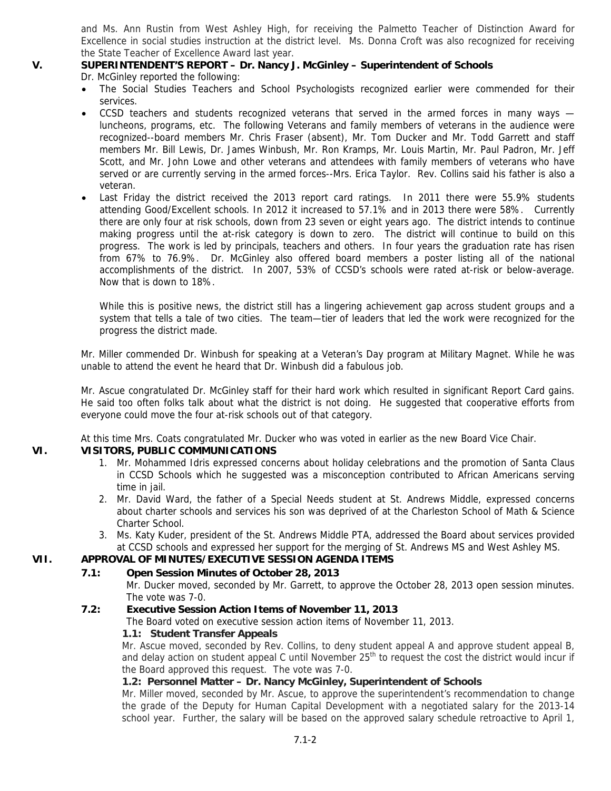and Ms. Ann Rustin from West Ashley High, for receiving the Palmetto Teacher of Distinction Award for Excellence in social studies instruction at the district level. Ms. Donna Croft was also recognized for receiving the State Teacher of Excellence Award last year.

## **V. SUPERINTENDENT'S REPORT – Dr. Nancy J. McGinley – Superintendent of Schools**

Dr. McGinley reported the following:

- The Social Studies Teachers and School Psychologists recognized earlier were commended for their services.
- CCSD teachers and students recognized veterans that served in the armed forces in many ways luncheons, programs, etc. The following Veterans and family members of veterans in the audience were recognized--board members Mr. Chris Fraser (absent), Mr. Tom Ducker and Mr. Todd Garrett and staff members Mr. Bill Lewis, Dr. James Winbush, Mr. Ron Kramps, Mr. Louis Martin, Mr. Paul Padron, Mr. Jeff Scott, and Mr. John Lowe and other veterans and attendees with family members of veterans who have served or are currently serving in the armed forces--Mrs. Erica Taylor. Rev. Collins said his father is also a veteran.
- Last Friday the district received the 2013 report card ratings. In 2011 there were 55.9% students attending Good/Excellent schools. In 2012 it increased to 57.1% and in 2013 there were 58%. Currently there are only four at risk schools, down from 23 seven or eight years ago. The district intends to continue making progress until the at-risk category is down to zero. The district will continue to build on this progress. The work is led by principals, teachers and others. In four years the graduation rate has risen from 67% to 76.9%. Dr. McGinley also offered board members a poster listing all of the national accomplishments of the district. In 2007, 53% of CCSD's schools were rated at-risk or below-average. Now that is down to 18%.

While this is positive news, the district still has a lingering achievement gap across student groups and a system that tells a tale of two cities. The team—tier of leaders that led the work were recognized for the progress the district made.

Mr. Miller commended Dr. Winbush for speaking at a Veteran's Day program at Military Magnet. While he was unable to attend the event he heard that Dr. Winbush did a fabulous job.

Mr. Ascue congratulated Dr. McGinley staff for their hard work which resulted in significant Report Card gains. He said too often folks talk about what the district is not doing. He suggested that cooperative efforts from everyone could move the four at-risk schools out of that category.

At this time Mrs. Coats congratulated Mr. Ducker who was voted in earlier as the new Board Vice Chair.

## **VI. VISITORS, PUBLIC COMMUNICATIONS**

- 1. Mr. Mohammed Idris expressed concerns about holiday celebrations and the promotion of Santa Claus in CCSD Schools which he suggested was a misconception contributed to African Americans serving time in jail.
- 2. Mr. David Ward, the father of a Special Needs student at St. Andrews Middle, expressed concerns about charter schools and services his son was deprived of at the Charleston School of Math & Science Charter School.
- 3. Ms. Katy Kuder, president of the St. Andrews Middle PTA, addressed the Board about services provided at CCSD schools and expressed her support for the merging of St. Andrews MS and West Ashley MS.

## **VII. APPROVAL OF MINUTES/EXECUTIVE SESSION AGENDA ITEMS**

## **7.1: Open Session Minutes of October 28, 2013**

Mr. Ducker moved, seconded by Mr. Garrett, to approve the October 28, 2013 open session minutes. The vote was 7-0.

## **7.2: Executive Session Action Items of November 11, 2013**

The Board voted on executive session action items of November 11, 2013.

## **1.1: Student Transfer Appeals**

Mr. Ascue moved, seconded by Rev. Collins, to deny student appeal A and approve student appeal B, and delay action on student appeal C until November  $25<sup>th</sup>$  to request the cost the district would incur if the Board approved this request. The vote was 7-0.

## **1.2: Personnel Matter – Dr. Nancy McGinley, Superintendent of Schools**

Mr. Miller moved, seconded by Mr. Ascue, to approve the superintendent's recommendation to change the grade of the Deputy for Human Capital Development with a negotiated salary for the 2013-14 school year. Further, the salary will be based on the approved salary schedule retroactive to April 1,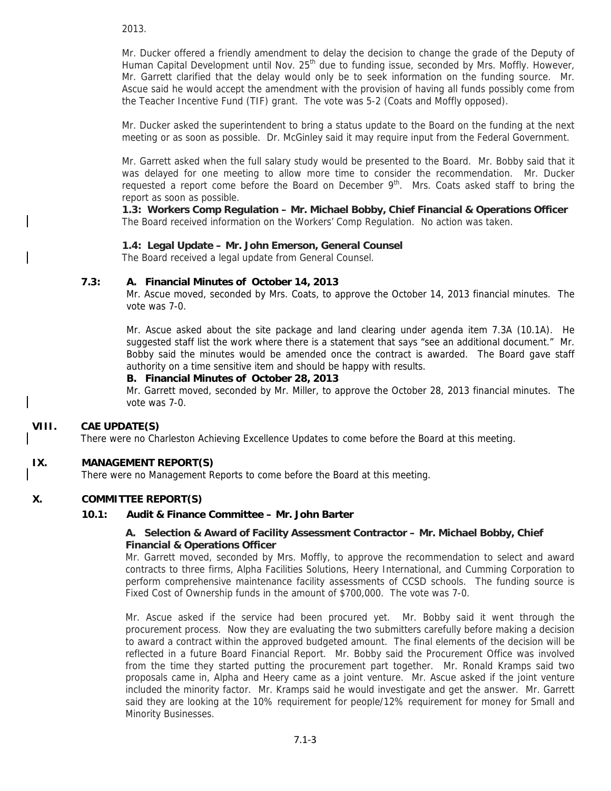2013.

Mr. Ducker offered a friendly amendment to delay the decision to change the grade of the Deputy of Human Capital Development until Nov. 25<sup>th</sup> due to funding issue, seconded by Mrs. Moffly. However, Mr. Garrett clarified that the delay would only be to seek information on the funding source. Mr. Ascue said he would accept the amendment with the provision of having all funds possibly come from the Teacher Incentive Fund (TIF) grant. The vote was 5-2 (Coats and Moffly opposed).

Mr. Ducker asked the superintendent to bring a status update to the Board on the funding at the next meeting or as soon as possible. Dr. McGinley said it may require input from the Federal Government.

Mr. Garrett asked when the full salary study would be presented to the Board. Mr. Bobby said that it was delayed for one meeting to allow more time to consider the recommendation. Mr. Ducker requested a report come before the Board on December  $9<sup>th</sup>$ . Mrs. Coats asked staff to bring the report as soon as possible.

**1.3: Workers Comp Regulation – Mr. Michael Bobby, Chief Financial & Operations Officer**  The Board received information on the Workers' Comp Regulation. No action was taken.

## **1.4: Legal Update – Mr. John Emerson, General Counsel**

The Board received a legal update from General Counsel.

#### **7.3: A. Financial Minutes of October 14, 2013**

Mr. Ascue moved, seconded by Mrs. Coats, to approve the October 14, 2013 financial minutes. The vote was 7-0.

Mr. Ascue asked about the site package and land clearing under agenda item 7.3A (10.1A). He suggested staff list the work where there is a statement that says "see an additional document." Mr. Bobby said the minutes would be amended once the contract is awarded. The Board gave staff authority on a time sensitive item and should be happy with results.

#### **B. Financial Minutes of October 28, 2013**

Mr. Garrett moved, seconded by Mr. Miller, to approve the October 28, 2013 financial minutes. The vote was 7-0.

## **VIII. CAE UPDATE(S)**

There were no Charleston Achieving Excellence Updates to come before the Board at this meeting.

## **IX. MANAGEMENT REPORT(S)**

There were no Management Reports to come before the Board at this meeting.

#### **X. COMMITTEE REPORT(S)**

#### **10.1: Audit & Finance Committee – Mr. John Barter**

#### **A. Selection & Award of Facility Assessment Contractor – Mr. Michael Bobby, Chief Financial & Operations Officer**

Mr. Garrett moved, seconded by Mrs. Moffly, to approve the recommendation to select and award contracts to three firms, Alpha Facilities Solutions, Heery International, and Cumming Corporation to perform comprehensive maintenance facility assessments of CCSD schools. The funding source is Fixed Cost of Ownership funds in the amount of \$700,000. The vote was 7-0.

Mr. Ascue asked if the service had been procured yet. Mr. Bobby said it went through the procurement process. Now they are evaluating the two submitters carefully before making a decision to award a contract within the approved budgeted amount. The final elements of the decision will be reflected in a future Board Financial Report. Mr. Bobby said the Procurement Office was involved from the time they started putting the procurement part together. Mr. Ronald Kramps said two proposals came in, Alpha and Heery came as a joint venture. Mr. Ascue asked if the joint venture included the minority factor. Mr. Kramps said he would investigate and get the answer. Mr. Garrett said they are looking at the 10% requirement for people/12% requirement for money for Small and Minority Businesses.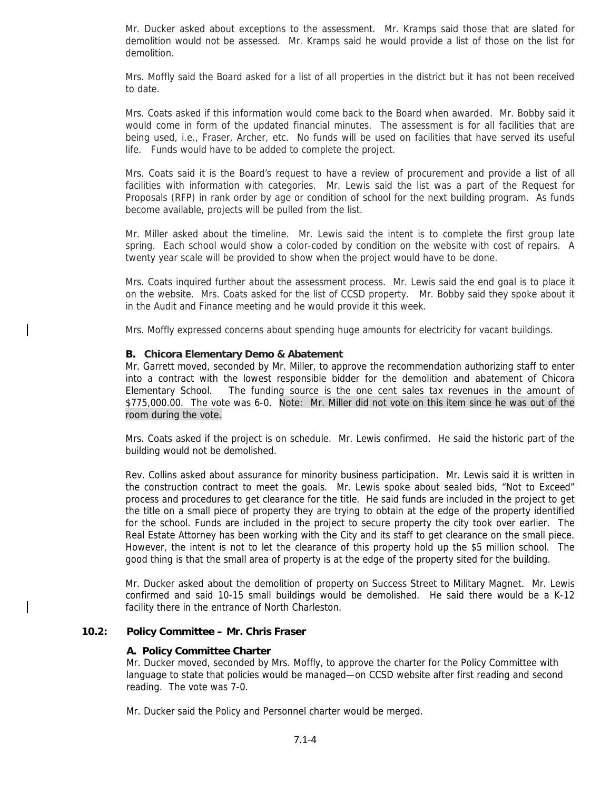Mr. Ducker asked about exceptions to the assessment. Mr. Kramps said those that are slated for demolition would not be assessed. Mr. Kramps said he would provide a list of those on the list for demolition.

Mrs. Moffly said the Board asked for a list of all properties in the district but it has not been received to date.

Mrs. Coats asked if this information would come back to the Board when awarded. Mr. Bobby said it would come in form of the updated financial minutes. The assessment is for all facilities that are being used, i.e., Fraser, Archer, etc. No funds will be used on facilities that have served its useful life. Funds would have to be added to complete the project.

Mrs. Coats said it is the Board's request to have a review of procurement and provide a list of all facilities with information with categories. Mr. Lewis said the list was a part of the Request for Proposals (RFP) in rank order by age or condition of school for the next building program. As funds become available, projects will be pulled from the list.

Mr. Miller asked about the timeline. Mr. Lewis said the intent is to complete the first group late spring. Each school would show a color-coded by condition on the website with cost of repairs. A twenty year scale will be provided to show when the project would have to be done.

Mrs. Coats inquired further about the assessment process. Mr. Lewis said the end goal is to place it on the website. Mrs. Coats asked for the list of CCSD property. Mr. Bobby said they spoke about it in the Audit and Finance meeting and he would provide it this week.

Mrs. Moffly expressed concerns about spending huge amounts for electricity for vacant buildings.

#### **B. Chicora Elementary Demo & Abatement**

Mr. Garrett moved, seconded by Mr. Miller, to approve the recommendation authorizing staff to enter into a contract with the lowest responsible bidder for the demolition and abatement of Chicora Elementary School. The funding source is the one cent sales tax revenues in the amount of \$775,000.00. The vote was 6-0. Note: Mr. Miller did not vote on this item since he was out of the room during the vote.

Mrs. Coats asked if the project is on schedule. Mr. Lewis confirmed. He said the historic part of the building would not be demolished.

Rev. Collins asked about assurance for minority business participation. Mr. Lewis said it is written in the construction contract to meet the goals. Mr. Lewis spoke about sealed bids, "Not to Exceed" process and procedures to get clearance for the title. He said funds are included in the project to get the title on a small piece of property they are trying to obtain at the edge of the property identified for the school. Funds are included in the project to secure property the city took over earlier. The Real Estate Attorney has been working with the City and its staff to get clearance on the small piece. However, the intent is not to let the clearance of this property hold up the \$5 million school. The good thing is that the small area of property is at the edge of the property sited for the building.

Mr. Ducker asked about the demolition of property on Success Street to Military Magnet. Mr. Lewis confirmed and said 10-15 small buildings would be demolished. He said there would be a K-12 facility there in the entrance of North Charleston.

### **10.2: Policy Committee – Mr. Chris Fraser**

#### **A. Policy Committee Charter**

Mr. Ducker moved, seconded by Mrs. Moffly, to approve the charter for the Policy Committee with language to state that policies would be managed—on CCSD website after first reading and second reading. The vote was 7-0.

Mr. Ducker said the Policy and Personnel charter would be merged.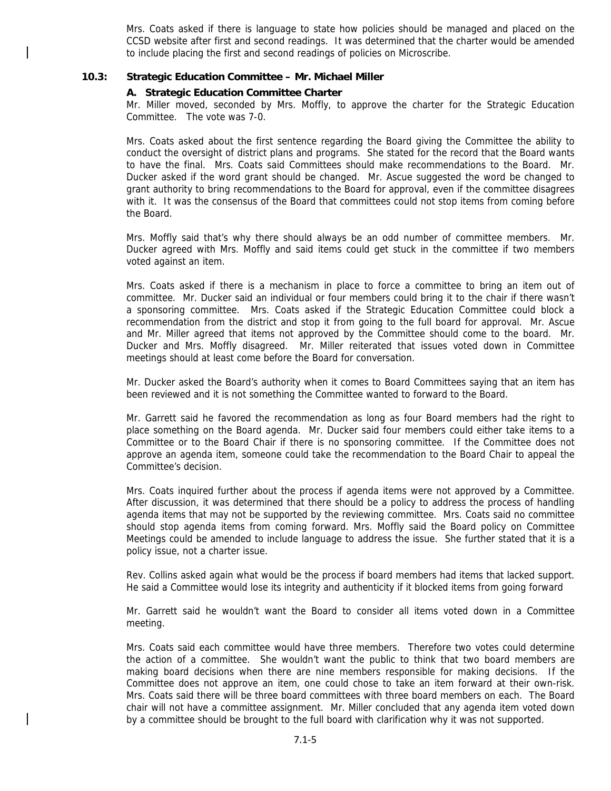Mrs. Coats asked if there is language to state how policies should be managed and placed on the CCSD website after first and second readings. It was determined that the charter would be amended to include placing the first and second readings of policies on Microscribe.

#### **10.3: Strategic Education Committee – Mr. Michael Miller**

#### **A. Strategic Education Committee Charter**

Mr. Miller moved, seconded by Mrs. Moffly, to approve the charter for the Strategic Education Committee. The vote was 7-0.

Mrs. Coats asked about the first sentence regarding the Board giving the Committee the ability to conduct the oversight of district plans and programs. She stated for the record that the Board wants to have the final. Mrs. Coats said Committees should make recommendations to the Board. Mr. Ducker asked if the word grant should be changed. Mr. Ascue suggested the word be changed to grant authority to bring recommendations to the Board for approval, even if the committee disagrees with it. It was the consensus of the Board that committees could not stop items from coming before the Board.

Mrs. Moffly said that's why there should always be an odd number of committee members. Mr. Ducker agreed with Mrs. Moffly and said items could get stuck in the committee if two members voted against an item.

Mrs. Coats asked if there is a mechanism in place to force a committee to bring an item out of committee. Mr. Ducker said an individual or four members could bring it to the chair if there wasn't a sponsoring committee. Mrs. Coats asked if the Strategic Education Committee could block a recommendation from the district and stop it from going to the full board for approval. Mr. Ascue and Mr. Miller agreed that items not approved by the Committee should come to the board. Mr. Ducker and Mrs. Moffly disagreed. Mr. Miller reiterated that issues voted down in Committee meetings should at least come before the Board for conversation.

Mr. Ducker asked the Board's authority when it comes to Board Committees saying that an item has been reviewed and it is not something the Committee wanted to forward to the Board.

Mr. Garrett said he favored the recommendation as long as four Board members had the right to place something on the Board agenda. Mr. Ducker said four members could either take items to a Committee or to the Board Chair if there is no sponsoring committee. If the Committee does not approve an agenda item, someone could take the recommendation to the Board Chair to appeal the Committee's decision.

Mrs. Coats inquired further about the process if agenda items were not approved by a Committee. After discussion, it was determined that there should be a policy to address the process of handling agenda items that may not be supported by the reviewing committee. Mrs. Coats said no committee should stop agenda items from coming forward. Mrs. Moffly said the Board policy on Committee Meetings could be amended to include language to address the issue. She further stated that it is a policy issue, not a charter issue.

Rev. Collins asked again what would be the process if board members had items that lacked support. He said a Committee would lose its integrity and authenticity if it blocked items from going forward

Mr. Garrett said he wouldn't want the Board to consider all items voted down in a Committee meeting.

Mrs. Coats said each committee would have three members. Therefore two votes could determine the action of a committee. She wouldn't want the public to think that two board members are making board decisions when there are nine members responsible for making decisions. If the Committee does not approve an item, one could chose to take an item forward at their own-risk. Mrs. Coats said there will be three board committees with three board members on each. The Board chair will not have a committee assignment. Mr. Miller concluded that any agenda item voted down by a committee should be brought to the full board with clarification why it was not supported.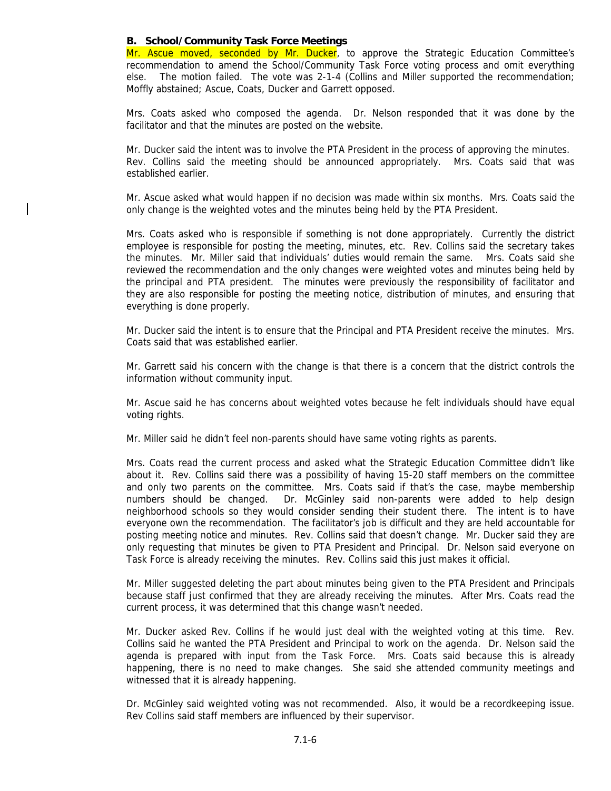#### **B. School/Community Task Force Meetings**

Mr. Ascue moved, seconded by Mr. Ducker, to approve the Strategic Education Committee's recommendation to amend the School/Community Task Force voting process and omit everything else. The motion failed. The vote was 2-1-4 (Collins and Miller supported the recommendation; Moffly abstained; Ascue, Coats, Ducker and Garrett opposed.

Mrs. Coats asked who composed the agenda. Dr. Nelson responded that it was done by the facilitator and that the minutes are posted on the website.

Mr. Ducker said the intent was to involve the PTA President in the process of approving the minutes. Rev. Collins said the meeting should be announced appropriately. Mrs. Coats said that was established earlier.

Mr. Ascue asked what would happen if no decision was made within six months. Mrs. Coats said the only change is the weighted votes and the minutes being held by the PTA President.

Mrs. Coats asked who is responsible if something is not done appropriately. Currently the district employee is responsible for posting the meeting, minutes, etc. Rev. Collins said the secretary takes the minutes. Mr. Miller said that individuals' duties would remain the same. Mrs. Coats said she reviewed the recommendation and the only changes were weighted votes and minutes being held by the principal and PTA president. The minutes were previously the responsibility of facilitator and they are also responsible for posting the meeting notice, distribution of minutes, and ensuring that everything is done properly.

Mr. Ducker said the intent is to ensure that the Principal and PTA President receive the minutes. Mrs. Coats said that was established earlier.

Mr. Garrett said his concern with the change is that there is a concern that the district controls the information without community input.

Mr. Ascue said he has concerns about weighted votes because he felt individuals should have equal voting rights.

Mr. Miller said he didn't feel non-parents should have same voting rights as parents.

Mrs. Coats read the current process and asked what the Strategic Education Committee didn't like about it. Rev. Collins said there was a possibility of having 15-20 staff members on the committee and only two parents on the committee. Mrs. Coats said if that's the case, maybe membership numbers should be changed. Dr. McGinley said non-parents were added to help design neighborhood schools so they would consider sending their student there. The intent is to have everyone own the recommendation. The facilitator's job is difficult and they are held accountable for posting meeting notice and minutes. Rev. Collins said that doesn't change. Mr. Ducker said they are only requesting that minutes be given to PTA President and Principal. Dr. Nelson said everyone on Task Force is already receiving the minutes. Rev. Collins said this just makes it official.

Mr. Miller suggested deleting the part about minutes being given to the PTA President and Principals because staff just confirmed that they are already receiving the minutes. After Mrs. Coats read the current process, it was determined that this change wasn't needed.

Mr. Ducker asked Rev. Collins if he would just deal with the weighted voting at this time. Rev. Collins said he wanted the PTA President and Principal to work on the agenda. Dr. Nelson said the agenda is prepared with input from the Task Force. Mrs. Coats said because this is already happening, there is no need to make changes. She said she attended community meetings and witnessed that it is already happening.

Dr. McGinley said weighted voting was not recommended. Also, it would be a recordkeeping issue. Rev Collins said staff members are influenced by their supervisor.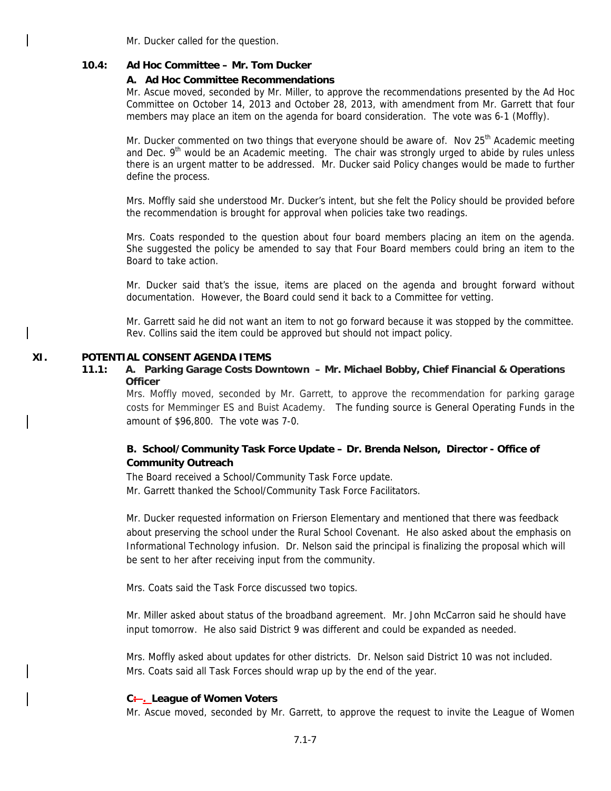Mr. Ducker called for the question.

#### **10.4: Ad Hoc Committee – Mr. Tom Ducker**

#### **A. Ad Hoc Committee Recommendations**

Mr. Ascue moved, seconded by Mr. Miller, to approve the recommendations presented by the Ad Hoc Committee on October 14, 2013 and October 28, 2013, with amendment from Mr. Garrett that four members may place an item on the agenda for board consideration. The vote was 6-1 (Moffly).

Mr. Ducker commented on two things that everyone should be aware of. Nov 25<sup>th</sup> Academic meeting and Dec.  $9<sup>th</sup>$  would be an Academic meeting. The chair was strongly urged to abide by rules unless there is an urgent matter to be addressed. Mr. Ducker said Policy changes would be made to further define the process.

Mrs. Moffly said she understood Mr. Ducker's intent, but she felt the Policy should be provided before the recommendation is brought for approval when policies take two readings.

Mrs. Coats responded to the question about four board members placing an item on the agenda. She suggested the policy be amended to say that Four Board members could bring an item to the Board to take action.

Mr. Ducker said that's the issue, items are placed on the agenda and brought forward without documentation. However, the Board could send it back to a Committee for vetting.

Mr. Garrett said he did not want an item to not go forward because it was stopped by the committee. Rev. Collins said the item could be approved but should not impact policy.

#### **XI. POTENTIAL CONSENT AGENDA ITEMS**

### **11.1: A. Parking Garage Costs Downtown – Mr. Michael Bobby, Chief Financial & Operations Officer**

Mrs. Moffly moved, seconded by Mr. Garrett, to approve the recommendation for parking garage costs for Memminger ES and Buist Academy. The funding source is General Operating Funds in the amount of \$96,800. The vote was 7-0.

## **B. School/Community Task Force Update – Dr. Brenda Nelson, Director - Office of Community Outreach**

The Board received a School/Community Task Force update.

Mr. Garrett thanked the School/Community Task Force Facilitators.

Mr. Ducker requested information on Frierson Elementary and mentioned that there was feedback about preserving the school under the Rural School Covenant. He also asked about the emphasis on Informational Technology infusion. Dr. Nelson said the principal is finalizing the proposal which will be sent to her after receiving input from the community.

Mrs. Coats said the Task Force discussed two topics.

Mr. Miller asked about status of the broadband agreement. Mr. John McCarron said he should have input tomorrow. He also said District 9 was different and could be expanded as needed.

Mrs. Moffly asked about updates for other districts. Dr. Nelson said District 10 was not included. Mrs. Coats said all Task Forces should wrap up by the end of the year.

## **C: . League of Women Voters**

Mr. Ascue moved, seconded by Mr. Garrett, to approve the request to invite the League of Women